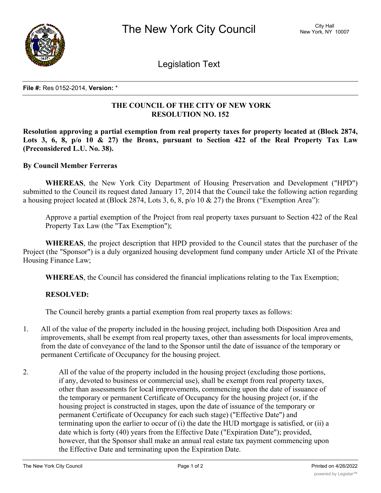

Legislation Text

## **File #:** Res 0152-2014, **Version:** \*

## **THE COUNCIL OF THE CITY OF NEW YORK RESOLUTION NO. 152**

**Resolution approving a partial exemption from real property taxes for property located at (Block 2874,** Lots 3, 6, 8,  $p/\sigma$  10 & 27) the Bronx, pursuant to Section 422 of the Real Property Tax Law **(Preconsidered L.U. No. 38).**

## **By Council Member Ferreras**

**WHEREAS**, the New York City Department of Housing Preservation and Development ("HPD") submitted to the Council its request dated January 17, 2014 that the Council take the following action regarding a housing project located at (Block 2874, Lots 3, 6, 8, p/o 10 & 27) the Bronx ("Exemption Area"):

Approve a partial exemption of the Project from real property taxes pursuant to Section 422 of the Real Property Tax Law (the "Tax Exemption");

**WHEREAS**, the project description that HPD provided to the Council states that the purchaser of the Project (the "Sponsor") is a duly organized housing development fund company under Article XI of the Private Housing Finance Law;

**WHEREAS**, the Council has considered the financial implications relating to the Tax Exemption;

## **RESOLVED:**

The Council hereby grants a partial exemption from real property taxes as follows:

- 1. All of the value of the property included in the housing project, including both Disposition Area and improvements, shall be exempt from real property taxes, other than assessments for local improvements, from the date of conveyance of the land to the Sponsor until the date of issuance of the temporary or permanent Certificate of Occupancy for the housing project.
- 2. All of the value of the property included in the housing project (excluding those portions, if any, devoted to business or commercial use), shall be exempt from real property taxes, other than assessments for local improvements, commencing upon the date of issuance of the temporary or permanent Certificate of Occupancy for the housing project (or, if the housing project is constructed in stages, upon the date of issuance of the temporary or permanent Certificate of Occupancy for each such stage) ("Effective Date") and terminating upon the earlier to occur of (i) the date the HUD mortgage is satisfied, or (ii) a date which is forty (40) years from the Effective Date ("Expiration Date"); provided, however, that the Sponsor shall make an annual real estate tax payment commencing upon the Effective Date and terminating upon the Expiration Date.